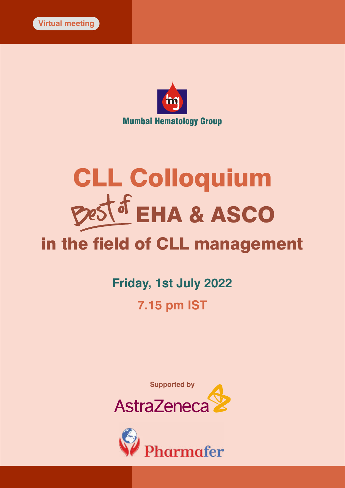



# CLL Colloquium in the field of CLL management EHA & ASCO

# **Friday, 1st July 2022 7.15 pm IST**



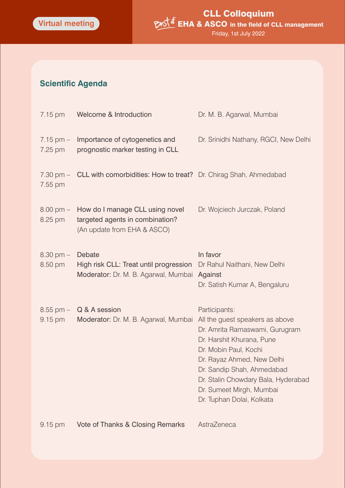## **Scientific Agenda**

| 7.15 pm                        | Welcome & Introduction                                                                            | Dr. M. B. Agarwal, Mumbai                                                                                                                                                                                                                                                                            |
|--------------------------------|---------------------------------------------------------------------------------------------------|------------------------------------------------------------------------------------------------------------------------------------------------------------------------------------------------------------------------------------------------------------------------------------------------------|
| $7.15 \, \text{pm}$<br>7.25 pm | Importance of cytogenetics and<br>prognostic marker testing in CLL                                | Dr. Srinidhi Nathany, RGCI, New Delhi                                                                                                                                                                                                                                                                |
| 7.55 pm                        | 7.30 pm - CLL with comorbidities: How to treat? Dr. Chirag Shah, Ahmedabad                        |                                                                                                                                                                                                                                                                                                      |
| $8.00 \text{ pm} -$<br>8.25 pm | How do I manage CLL using novel<br>targeted agents in combination?<br>(An update from EHA & ASCO) | Dr. Wojciech Jurczak, Poland                                                                                                                                                                                                                                                                         |
| $8.30 \text{ pm} -$<br>8.50 pm | Debate<br>High risk CLL: Treat until progression<br>Moderator: Dr. M. B. Agarwal, Mumbai Against  | In favor<br>Dr Rahul Naithani, New Delhi<br>Dr. Satish Kumar A, Bengaluru                                                                                                                                                                                                                            |
| $8.55$ pm $-$<br>9.15 pm       | Q & A session<br>Moderator: Dr. M. B. Agarwal, Mumbai                                             | Participants:<br>All the guest speakers as above<br>Dr. Amrita Ramaswami, Gurugram<br>Dr. Harshit Khurana, Pune<br>Dr. Mobin Paul, Kochi<br>Dr. Rayaz Ahmed, New Delhi<br>Dr. Sandip Shah, Ahmedabad<br>Dr. Stalin Chowdary Bala, Hyderabad<br>Dr. Sumeet Mirgh, Mumbai<br>Dr. Tuphan Dolai, Kolkata |
| 9.15 pm                        | Vote of Thanks & Closing Remarks                                                                  | AstraZeneca                                                                                                                                                                                                                                                                                          |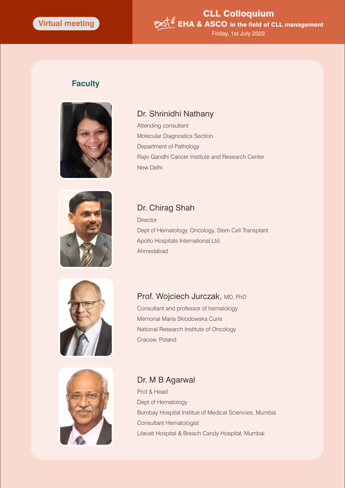#### CLL Colloquium Best of EHA & ASCO in the field of CLL management Friday, 1st July 2022

#### **Faculty**



#### Dr. Shrinidhi Nathany

Attending consultant Molecular Diagnostics Section Department of Pathology Rajiv Gandhi Cancer Institute and Research Center New Delhi



#### Dr. Chirag Shah

**Director** Dept of Hematology, Oncology, Stem Cell Transplant Apollo Hospitals International Ltd. Ahmedabad





#### Prof. Wojciech Jurczak, MD, PhD

Consultant and professor of hematology Memorial Maria Sklodowska Curie National Research Institute of Oncology Cracow, Poland

#### Dr. M B Agarwal

Prof & Head Dept of Hematology Bombay Hospital Institue of Medical Sciencies, Mumbai Consultant Hematologist Lilavati Hospital & Breach Candy Hospital, Mumbai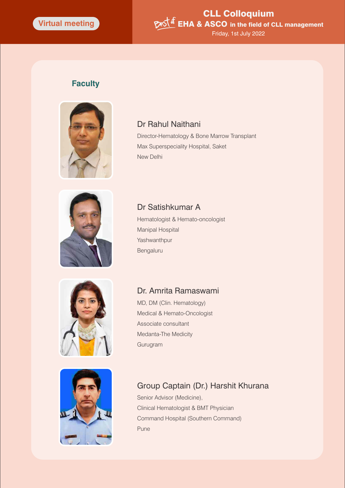#### CLL Colloquium Best of EHA & ASCO in the field of CLL management Friday, 1st July 2022

#### **Faculty**



#### Dr Rahul Naithani

Director-Hematology & Bone Marrow Transplant Max Superspeciality Hospital, Saket New Delhi



## Dr Satishkumar A

Hematologist & Hemato-oncologist Manipal Hospital Yashwanthpur Bengaluru





## Dr. Amrita Ramaswami

MD, DM (Clin. Hematology) Medical & Hemato-Oncologist Associate consultant Medanta-The Medicity Gurugram

#### Group Captain (Dr.) Harshit Khurana

Senior Advisor (Medicine), Clinical Hematologist & BMT Physician Command Hospital (Southern Command) Pune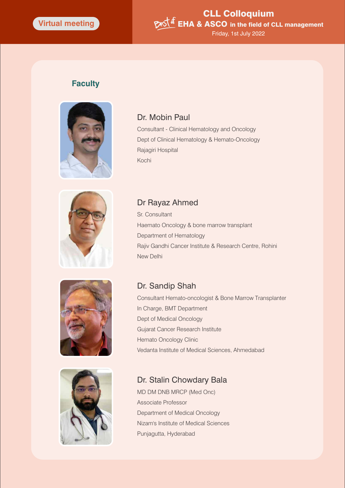#### CLL Colloquium Best of EHA & ASCO in the field of CLL management Friday, 1st July 2022

#### **Faculty**



#### Dr. Mobin Paul

Consultant - Clinical Hematology and Oncology Dept of Clinical Hematology & Hemato-Oncology Rajagiri Hospital Kochi







#### Dr Rayaz Ahmed

Sr. Consultant Haemato Oncology & bone marrow transplant Department of Hematology Rajiv Gandhi Cancer Institute & Research Centre, Rohini New Delhi

#### Dr. Sandip Shah

Consultant Hemato-oncologist & Bone Marrow Transplanter In Charge, BMT Department Dept of Medical Oncology Gujarat Cancer Research Institute Hemato Oncology Clinic Vedanta Institute of Medical Sciences, Ahmedabad

#### Dr. Stalin Chowdary Bala

MD DM DNB MRCP (Med Onc) Associate Professor Department of Medical Oncology Nizam's Institute of Medical Sciences Punjagutta, Hyderabad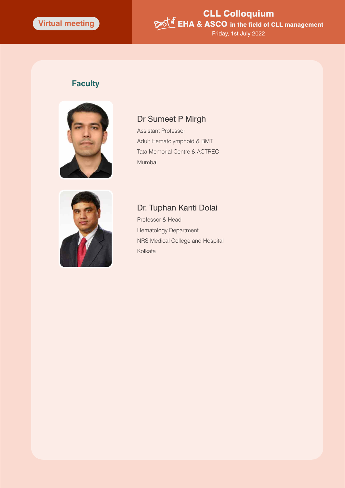#### CLL Colloquium **EHA & ASCO** in the field of CLL management Friday, 1st July 2022

#### **Faculty**



#### Dr Sumeet P Mirgh

Assistant Professor Adult Hematolymphoid & BMT Tata Memorial Centre & ACTREC Mumbai



## Dr. Tuphan Kanti Dolai

Professor & Head Hematology Department NRS Medical College and Hospital Kolkata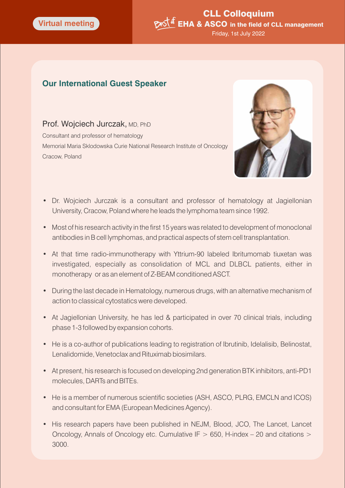#### CLL Colloquium Pest of EHA & ASCO in the field of CLL management Friday, 1st July 2022

#### **Our International Guest Speaker**

#### Prof. Wojciech Jurczak, MD, PhD

Consultant and professor of hematology Memorial Maria Sklodowska Curie National Research Institute of Oncology Cracow, Poland



- Dr. Wojciech Jurczak is a consultant and professor of hematology at Jagiellonian University, Cracow, Poland where he leads the lymphoma team since 1992.
- Most of his research activity in the first 15 years was related to development of monoclonal antibodies in B cell lymphomas, and practical aspects of stem cell transplantation.
- At that time radio-immunotherapy with Yttrium-90 labeled Ibritumomab tiuxetan was investigated, especially as consolidation of MCL and DLBCL patients, either in monotherapy or as an element of Z-BEAM conditioned ASCT.
- During the last decade in Hematology, numerous drugs, with an alternative mechanism of action to classical cytostatics were developed.
- At Jagiellonian University, he has led & participated in over 70 clinical trials, including phase 1-3 followed by expansion cohorts.
- He is a co-author of publications leading to registration of Ibrutinib, Idelalisib, Belinostat, Lenalidomide, Venetoclax and Rituximab biosimilars.
- At present, his research is focused on developing 2nd generation BTK inhibitors, anti-PD1 molecules, DARTs and BITEs.
- He is a member of numerous scientific societies (ASH, ASCO, PLRG, EMCLN and ICOS) and consultant for EMA (European Medicines Agency).
- His research papers have been published in NEJM, Blood, JCO, The Lancet, Lancet Oncology, Annals of Oncology etc. Cumulative IF  $> 650$ , H-index – 20 and citations  $>$ 3000.